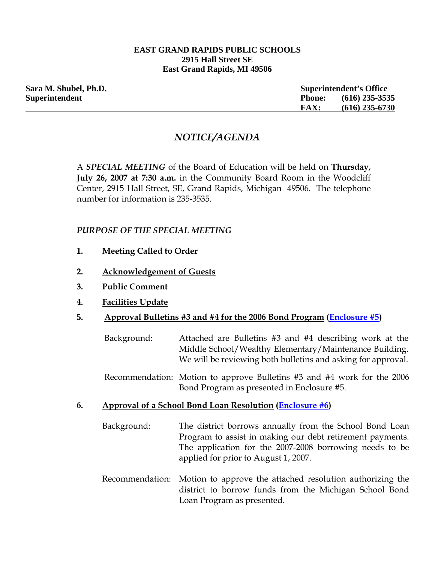#### **EAST GRAND RAPIDS PUBLIC SCHOOLS 2915 Hall Street SE East Grand Rapids, MI 49506**

| <b>Superintendent's Office</b> |                  |
|--------------------------------|------------------|
| <b>Phone:</b>                  | $(616)$ 235-3535 |
| <b>FAX:</b>                    | $(616)$ 235-6730 |
|                                |                  |

# *NOTICE/AGENDA*

A *SPECIAL MEETING* of the Board of Education will be held on **Thursday, July 26, 2007 at 7:30 a.m.** in the Community Board Room in the Woodcliff Center, 2915 Hall Street, SE, Grand Rapids, Michigan 49506. The telephone number for information is 235-3535.

### *PURPOSE OF THE SPECIAL MEETING*

- **1. Meeting Called to Order**
- **2. Acknowledgement of Guests**
- **3. Public Comment**
- **4. Facilities Update**
- **5. Approval Bulletins #3 and #4 for the 2006 Bond Program ([Enclosure #5\)](http://www.egrps.org/district/boardofed/Enclosures/072607/Enc5.pdf)**
	- Background: Attached are Bulletins #3 and #4 describing work at the Middle School/Wealthy Elementary/Maintenance Building. We will be reviewing both bulletins and asking for approval.
	- Recommendation: Motion to approve Bulletins #3 and #4 work for the 2006 Bond Program as presented in Enclosure #5.
- **6. Approval of a School Bond Loan Resolution [\(Enclosure #6\)](http://www.egrps.org/district/boardofed/Enclosures/072607/Enc6.pdf)**
	- Background: The district borrows annually from the School Bond Loan Program to assist in making our debt retirement payments. The application for the 2007-2008 borrowing needs to be applied for prior to August 1, 2007.
	- Recommendation: Motion to approve the attached resolution authorizing the district to borrow funds from the Michigan School Bond Loan Program as presented.